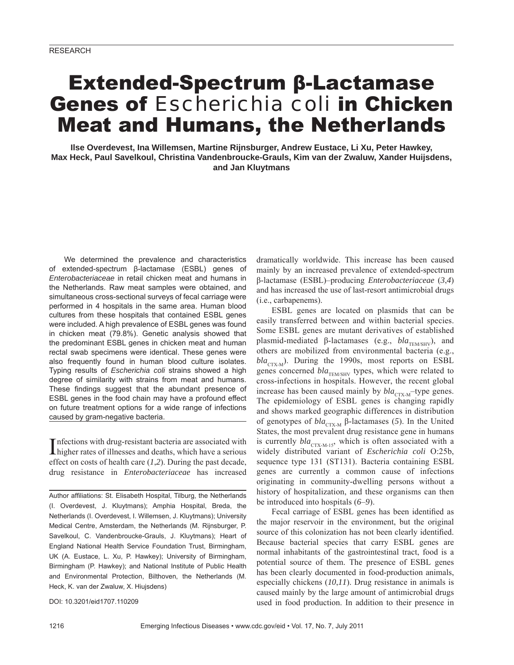# Extended-Spectrum β-Lactamase Genes of *Escherichia coli* in Chicken Meat and Humans, the Netherlands

**Ilse Overdevest, Ina Willemsen, Martine Rijnsburger, Andrew Eustace, Li Xu, Peter Hawkey, Max Heck, Paul Savelkoul, Christina Vandenbroucke-Grauls, Kim van der Zwaluw, Xander Huijsdens, and Jan Kluytmans**

We determined the prevalence and characteristics of extended-spectrum β-lactamase (ESBL) genes of *Enterobacteriaceae* in retail chicken meat and humans in the Netherlands. Raw meat samples were obtained, and simultaneous cross-sectional surveys of fecal carriage were performed in 4 hospitals in the same area. Human blood cultures from these hospitals that contained ESBL genes were included. A high prevalence of ESBL genes was found in chicken meat (79.8%). Genetic analysis showed that the predominant ESBL genes in chicken meat and human rectal swab specimens were identical. These genes were also frequently found in human blood culture isolates. Typing results of *Escherichia coli* strains showed a high degree of similarity with strains from meat and humans. These findings suggest that the abundant presence of ESBL genes in the food chain may have a profound effect on future treatment options for a wide range of infections caused by gram-negative bacteria.

I higher rates of illnesses and deaths, which have a serious Infections with drug-resistant bacteria are associated with effect on costs of health care (*1*,*2*). During the past decade, drug resistance in *Enterobacteriaceae* has increased

DOI: 10.3201/eid1707.110209

dramatically worldwide. This increase has been caused mainly by an increased prevalence of extended-spectrum β-lactamase (ESBL)–producing *Enterobacteriaceae* (*3*,*4*) and has increased the use of last-resort antimicrobial drugs (i.e., carbapenems).

ESBL genes are located on plasmids that can be easily transferred between and within bacterial species. Some ESBL genes are mutant derivatives of established plasmid-mediated β-lactamases (e.g., *bla*<sub>TEM/SHV</sub>), and others are mobilized from environmental bacteria (e.g.,  $bla_{\text{CTX-M}}$ ). During the 1990s, most reports on ESBL genes concerned *bla*<sub>TEM/SHV</sub> types, which were related to cross-infections in hospitals. However, the recent global increase has been caused mainly by  $bla_{\text{CTX-M}}$ -type genes. The epidemiology of ESBL genes is changing rapidly and shows marked geographic differences in distribution of genotypes of *bla*<sub>CTX-M</sub> β-lactamases (5). In the United States, the most prevalent drug resistance gene in humans is currently  $bla_{\text{CTX-M-15}}$ , which is often associated with a widely distributed variant of *Escherichia coli* O:25b, sequence type 131 (ST131). Bacteria containing ESBL genes are currently a common cause of infections originating in community-dwelling persons without a history of hospitalization, and these organisms can then be introduced into hospitals (*6*–*9*).

Fecal carriage of ESBL genes has been identified as the major reservoir in the environment, but the original source of this colonization has not been clearly identified. Because bacterial species that carry ESBL genes are normal inhabitants of the gastrointestinal tract, food is a potential source of them. The presence of ESBL genes has been clearly documented in food-production animals, especially chickens (*10*,*11*). Drug resistance in animals is caused mainly by the large amount of antimicrobial drugs used in food production. In addition to their presence in

Author affiliations: St. Elisabeth Hospital, Tilburg, the Netherlands (I. Overdevest, J. Kluytmans); Amphia Hospital, Breda, the Netherlands (I. Overdevest, I. Willemsen, J. Kluytmans); University Medical Centre, Amsterdam, the Netherlands (M. Rijnsburger, P. Savelkoul, C. Vandenbroucke-Grauls, J. Kluytmans); Heart of England National Health Service Foundation Trust, Birmingham, UK (A. Eustace, L. Xu, P. Hawkey); University of Birmingham, Birmingham (P. Hawkey); and National Institute of Public Health and Environmental Protection, Bilthoven, the Netherlands (M. Heck, K. van der Zwaluw, X. Hiujsdens)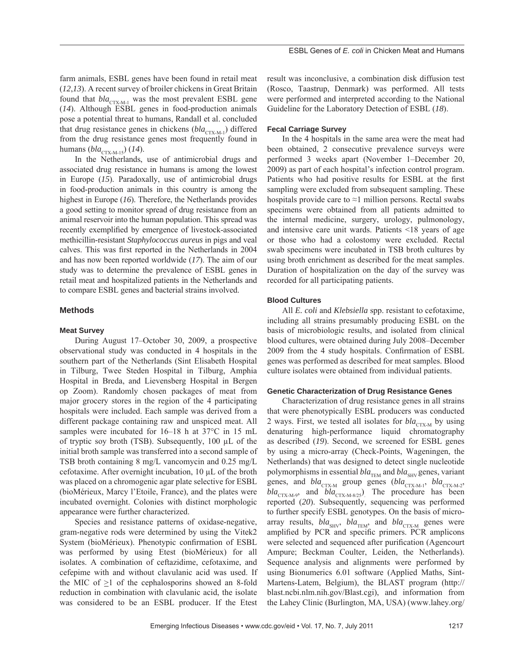farm animals, ESBL genes have been found in retail meat (*12*,*13*). A recent survey of broiler chickens in Great Britain found that  $bla_{\text{CTX-M-1}}$  was the most prevalent ESBL gene (*14*). Although ESBL genes in food-production animals pose a potential threat to humans, Randall et al. concluded that drug resistance genes in chickens ( $bla_{\text{CTX-M-1}}$ ) differed from the drug resistance genes most frequently found in humans (*bla*<sub>CTX-M-15</sub>) (14).

In the Netherlands, use of antimicrobial drugs and associated drug resistance in humans is among the lowest in Europe (*15*). Paradoxally, use of antimicrobial drugs in food-production animals in this country is among the highest in Europe (*16*). Therefore, the Netherlands provides a good setting to monitor spread of drug resistance from an animal reservoir into the human population. This spread was recently exemplified by emergence of livestock-associated methicillin-resistant *Staphylococcus aureus* in pigs and veal calves. This was first reported in the Netherlands in 2004 and has now been reported worldwide (*17*). The aim of our study was to determine the prevalence of ESBL genes in retail meat and hospitalized patients in the Netherlands and to compare ESBL genes and bacterial strains involved.

#### **Methods**

#### **Meat Survey**

During August 17–October 30, 2009, a prospective observational study was conducted in 4 hospitals in the southern part of the Netherlands (Sint Elisabeth Hospital in Tilburg, Twee Steden Hospital in Tilburg, Amphia Hospital in Breda, and Lievensberg Hospital in Bergen op Zoom). Randomly chosen packages of meat from major grocery stores in the region of the 4 participating hospitals were included. Each sample was derived from a different package containing raw and unspiced meat. All samples were incubated for 16–18 h at 37°C in 15 mL of tryptic soy broth (TSB). Subsequently, 100 μL of the initial broth sample was transferred into a second sample of TSB broth containing 8 mg/L vancomycin and 0.25 mg/L cefotaxime. After overnight incubation, 10 μL of the broth was placed on a chromogenic agar plate selective for ESBL (bioMérieux, Marcy l'Etoile, France), and the plates were incubated overnight. Colonies with distinct morphologic appearance were further characterized.

Species and resistance patterns of oxidase-negative, gram-negative rods were determined by using the Vitek2 System (bioMérieux). Phenotypic confirmation of ESBL was performed by using Etest (bioMérieux) for all isolates. A combination of ceftazidime, cefotaxime, and cefepime with and without clavulanic acid was used. If the MIC of  $\geq 1$  of the cephalosporins showed an 8-fold reduction in combination with clavulanic acid, the isolate was considered to be an ESBL producer. If the Etest

result was inconclusive, a combination disk diffusion test (Rosco, Taastrup, Denmark) was performed. All tests were performed and interpreted according to the National Guideline for the Laboratory Detection of ESBL (*18*).

# **Fecal Carriage Survey**

In the 4 hospitals in the same area were the meat had been obtained, 2 consecutive prevalence surveys were performed 3 weeks apart (November 1–December 20, 2009) as part of each hospital's infection control program. Patients who had positive results for ESBL at the first sampling were excluded from subsequent sampling. These hospitals provide care to  $\approx$ 1 million persons. Rectal swabs specimens were obtained from all patients admitted to the internal medicine, surgery, urology, pulmonology, and intensive care unit wards. Patients <18 years of age or those who had a colostomy were excluded. Rectal swab specimens were incubated in TSB broth cultures by using broth enrichment as described for the meat samples. Duration of hospitalization on the day of the survey was recorded for all participating patients.

# **Blood Cultures**

All *E. coli* and *Klebsiella* spp. resistant to cefotaxime, including all strains presumably producing ESBL on the basis of microbiologic results, and isolated from clinical blood cultures, were obtained during July 2008–December 2009 from the 4 study hospitals. Confirmation of ESBL genes was performed as described for meat samples. Blood culture isolates were obtained from individual patients.

# **Genetic Characterization of Drug Resistance Genes**

Characterization of drug resistance genes in all strains that were phenotypically ESBL producers was conducted 2 ways. First, we tested all isolates for  $bla_{\text{CTX-M}}$  by using denaturing high-performance liquid chromatography as described (*19*). Second, we screened for ESBL genes by using a micro-array (Check-Points, Wageningen, the Netherlands) that was designed to detect single nucleotide polymorphisms in essential *bla*<sub>TEM</sub> and *bla*<sub>SHV</sub> genes, variant genes, and  $bla_{\text{CTX-M}}$  group genes  $(bla_{\text{CTX-M-2}}, bla_{\text{CTX-M-2}})$  $bla_{\text{CTX-M-9}}$ , and  $bla_{\text{CTX-M-8/25}}$ . The procedure has been reported (*20*). Subsequently, sequencing was performed to further specify ESBL genotypes. On the basis of microarray results,  $bla_{SHV}$ ,  $bla_{TEM}$ , and  $bla_{CTX-M}$  genes were amplified by PCR and specific primers. PCR amplicons were selected and sequenced after purification (Agencourt Ampure; Beckman Coulter, Leiden, the Netherlands). Sequence analysis and alignments were performed by using Bionumerics 6.01 software (Applied Maths, Sint-Martens-Latem, Belgium), the BLAST program (http:// blast.ncbi.nlm.nih.gov/Blast.cgi), and information from the Lahey Clinic (Burlington, MA, USA) (www.lahey.org/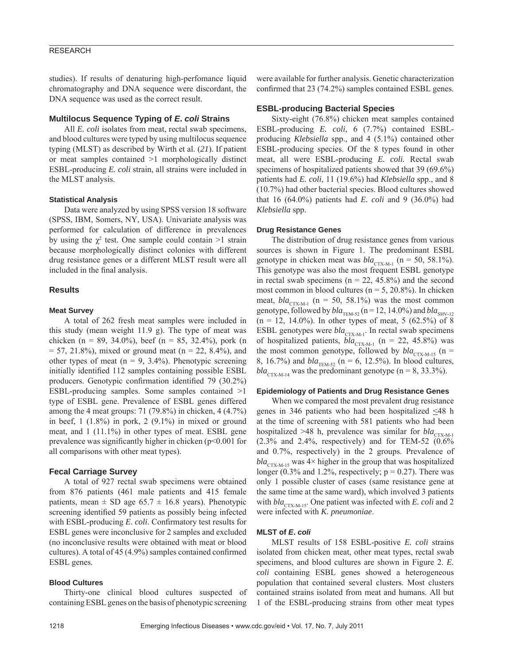# RESEARCH

studies). If results of denaturing high-perfomance liquid chromatography and DNA sequence were discordant, the DNA sequence was used as the correct result.

#### **Multilocus Sequence Typing of** *E***.** *coli* **Strains**

All *E. coli* isolates from meat, rectal swab specimens, and blood cultures were typed by using multilocus sequence typing (MLST) as described by Wirth et al. (*21*). If patient or meat samples contained >1 morphologically distinct ESBL-producing *E. coli* strain, all strains were included in the MLST analysis.

# **Statistical Analysis**

Data were analyzed by using SPSS version 18 software (SPSS, IBM, Somers, NY, USA). Univariate analysis was performed for calculation of difference in prevalences by using the  $\chi^2$  test. One sample could contain  $>1$  strain because morphologically distinct colonies with different drug resistance genes or a different MLST result were all included in the final analysis.

# **Results**

# **Meat Survey**

A total of 262 fresh meat samples were included in this study (mean weight 11.9 g). The type of meat was chicken (n = 89, 34.0%), beef (n = 85, 32.4%), pork (n  $= 57, 21.8\%$ , mixed or ground meat (n = 22, 8.4%), and other types of meat ( $n = 9, 3.4\%$ ). Phenotypic screening initially identified 112 samples containing possible ESBL producers. Genotypic confirmation identified  $79$   $(30.2\%)$ ESBL-producing samples. Some samples contained >1 type of ESBL gene. Prevalence of ESBL genes differed among the 4 meat groups: 71 (79.8%) in chicken, 4 (4.7%) in beef,  $1(1.8\%)$  in pork,  $2(9.1\%)$  in mixed or ground meat, and 1 (11.1%) in other types of meat. ESBL gene prevalence was significantly higher in chicken  $(p<0.001$  for all comparisons with other meat types).

# **Fecal Carriage Survey**

A total of 927 rectal swab specimens were obtained from 876 patients (461 male patients and 415 female patients, mean  $\pm$  SD age 65.7  $\pm$  16.8 years). Phenotypic screening identified 59 patients as possibly being infected with ESBL-producing *E. coli.* Confirmatory test results for ESBL genes were inconclusive for 2 samples and excluded (no inconclusive results were obtained with meat or blood cultures). A total of  $45 (4.9\%)$  samples contained confirmed ESBL genes.

# **Blood Cultures**

Thirty-one clinical blood cultures suspected of containing ESBL genes on the basis of phenotypic screening

were available for further analysis. Genetic characterization confirmed that  $23(74.2%)$  samples contained ESBL genes.

#### **ESBL-producing Bacterial Species**

Sixty-eight (76.8%) chicken meat samples contained ESBL-producing *E. coli*, 6 (7.7%) contained ESBLproducing *Klebsiella* spp., and 4 (5.1%) contained other ESBL-producing species. Of the 8 types found in other meat, all were ESBL-producing *E. coli.* Rectal swab specimens of hospitalized patients showed that 39 (69.6%) patients had *E. coli*, 11 (19.6%) had *Klebsiella* spp., and 8 (10.7%) had other bacterial species. Blood cultures showed that 16  $(64.0\%)$  patients had *E. coli* and 9  $(36.0\%)$  had *Klebsiella* spp.

### **Drug Resistance Genes**

The distribution of drug resistance genes from various sources is shown in Figure 1. The predominant ESBL genotype in chicken meat was  $bla_{\text{CTX-M-1}}$  (n = 50, 58.1%). This genotype was also the most frequent ESBL genotype in rectal swab specimens ( $n = 22, 45.8%$ ) and the second most common in blood cultures ( $n = 5$ , 20.8%). In chicken meat,  $bla_{\text{CTX-M-1}}$  (n = 50, 58.1%) was the most common genotype, followed by  $bla_{\text{TEM-52}}$  (n = 12, 14.0%) and  $bla_{\text{SHV-12}}$  $(n = 12, 14.0\%)$ . In other types of meat, 5 (62.5%) of 8 ESBL genotypes were  $bla_{\text{CTX-M-1}}$ . In rectal swab specimens of hospitalized patients,  $bla_{\text{CTX-M-1}}$  (n = 22, 45.8%) was the most common genotype, followed by  $bla_{\text{CTX-M-15}}$  (n = 8, 16.7%) and  $bla_{\text{TEM-52}}$  (n = 6, 12.5%). In blood cultures,  $bla_{\text{CTX-M-14}}$  was the predominant genotype (n = 8, 33.3%).

#### **Epidemiology of Patients and Drug Resistance Genes**

When we compared the most prevalent drug resistance genes in 346 patients who had been hospitalized  $\leq$ 48 h at the time of screening with 581 patients who had been hospitalized >48 h, prevalence was similar for  $bla_{\text{CTX-M-1}}$  $(2.3\%$  and  $2.4\%$ , respectively) and for TEM-52  $(0.6\%$ and 0.7%, respectively) in the 2 groups. Prevalence of  $bla_{\text{CTX-M-15}}$  was  $4\times$  higher in the group that was hospitalized longer (0.3% and 1.2%, respectively;  $p = 0.27$ ). There was only 1 possible cluster of cases (same resistance gene at the same time at the same ward), which involved 3 patients with  $bla_{\text{CTX-M-15}}$ . One patient was infected with *E. coli* and 2 were infected with *K. pneumoniae*.

#### **MLST of** *E***.** *coli*

MLST results of 158 ESBL-positive *E. coli* strains isolated from chicken meat, other meat types, rectal swab specimens, and blood cultures are shown in Figure 2. *E. coli* containing ESBL genes showed a heterogeneous population that contained several clusters. Most clusters contained strains isolated from meat and humans. All but 1 of the ESBL-producing strains from other meat types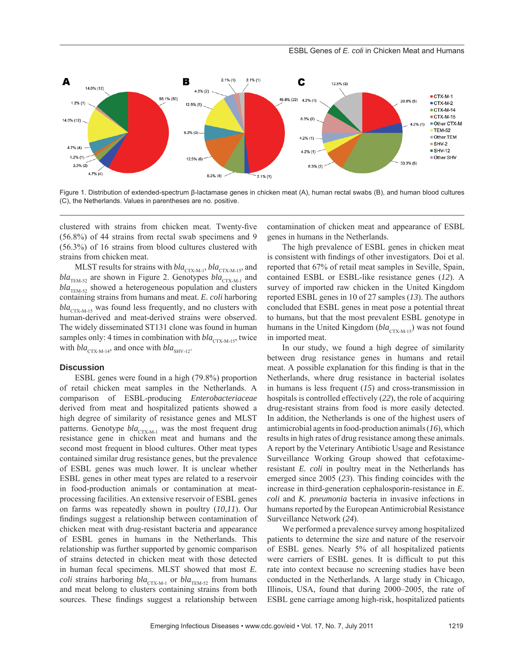

Figure 1. Distribution of extended-spectrum β-lactamase genes in chicken meat (A), human rectal swabs (B), and human blood cultures (C), the Netherlands. Values in parentheses are no. positive.

clustered with strains from chicken meat. Twenty-five (56.8%) of 44 strains from rectal swab specimens and 9 (56.3%) of 16 strains from blood cultures clustered with strains from chicken meat.

MLST results for strains with  $bla_{\text{CTX-M-1}}, bla_{\text{CTX-M-15}},$  and  $bla_{\text{TEM-52}}$  are shown in Figure 2. Genotypes  $bla_{\text{CTX-ML1}}$  and  $bla_{\text{TEM-52}}$  showed a heterogeneous population and clusters containing strains from humans and meat. *E. coli* harboring  $bla_{\text{CTX-M-15}}$  was found less frequently, and no clusters with human-derived and meat-derived strains were observed. The widely disseminated ST131 clone was found in human samples only: 4 times in combination with  $bla_{CTX, M, 15}$ , twice with  $bla_{\text{CTX-M-14}}$ , and once with  $bla_{\text{SHV-12}}$ .

#### **Discussion**

ESBL genes were found in a high (79.8%) proportion of retail chicken meat samples in the Netherlands. A comparison of ESBL-producing *Enterobacteriaceae*  derived from meat and hospitalized patients showed a high degree of similarity of resistance genes and MLST patterns. Genotype  $bla_{\text{CTX-M-1}}$  was the most frequent drug resistance gene in chicken meat and humans and the second most frequent in blood cultures. Other meat types contained similar drug resistance genes, but the prevalence of ESBL genes was much lower. It is unclear whether ESBL genes in other meat types are related to a reservoir in food-production animals or contamination at meatprocessing facilities. An extensive reservoir of ESBL genes on farms was repeatedly shown in poultry (*10*,*11*). Our findings suggest a relationship between contamination of chicken meat with drug-resistant bacteria and appearance of ESBL genes in humans in the Netherlands. This relationship was further supported by genomic comparison of strains detected in chicken meat with those detected in human fecal specimens. MLST showed that most *E. coli* strains harboring  $bla_{\text{CTX-M-1}}$  or  $bla_{\text{TEM-52}}$  from humans and meat belong to clusters containing strains from both sources. These findings suggest a relationship between

contamination of chicken meat and appearance of ESBL genes in humans in the Netherlands.

The high prevalence of ESBL genes in chicken meat is consistent with findings of other investigators. Doi et al. reported that 67% of retail meat samples in Seville, Spain, contained ESBL or ESBL-like resistance genes (*12*). A survey of imported raw chicken in the United Kingdom reported ESBL genes in 10 of 27 samples (*13*). The authors concluded that ESBL genes in meat pose a potential threat to humans, but that the most prevalent ESBL genotype in humans in the United Kingdom (*bla*<sub>CTX-M-15</sub>) was not found in imported meat.

In our study, we found a high degree of similarity between drug resistance genes in humans and retail meat. A possible explanation for this finding is that in the Netherlands, where drug resistance in bacterial isolates in humans is less frequent (*15*) and cross-transmission in hospitals is controlled effectively (*22*), the role of acquiring drug-resistant strains from food is more easily detected. In addition, the Netherlands is one of the highest users of antimicrobial agents in food-production animals (*16*), which results in high rates of drug resistance among these animals. A report by the Veterinary Antibiotic Usage and Resistance Surveillance Working Group showed that cefotaximeresistant *E. coli* in poultry meat in the Netherlands has emerged since 2005 (23). This finding coincides with the increase in third-generation cephalosporin-resistance in *E. coli* and *K. pneumonia* bacteria in invasive infections in humans reported by the European Antimicrobial Resistance Surveillance Network (*24*).

We performed a prevalence survey among hospitalized patients to determine the size and nature of the reservoir of ESBL genes. Nearly 5% of all hospitalized patients were carriers of ESBL genes. It is difficult to put this rate into context because no screening studies have been conducted in the Netherlands. A large study in Chicago, Illinois, USA, found that during 2000–2005, the rate of ESBL gene carriage among high-risk, hospitalized patients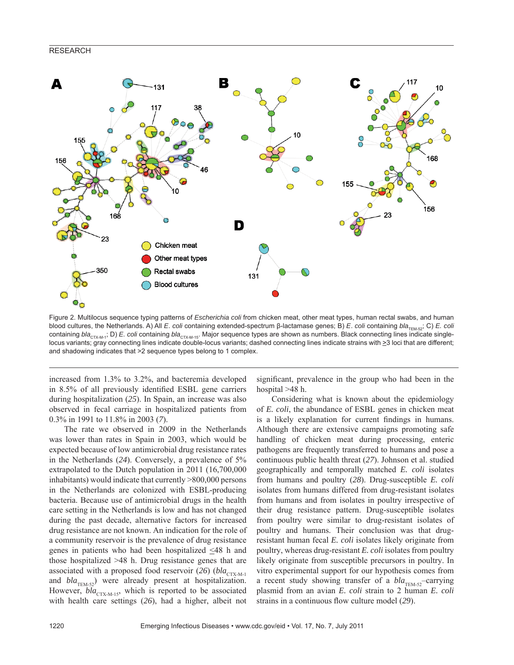

Figure 2. Multilocus sequence typing patterns of *Escherichia coli* from chicken meat, other meat types, human rectal swabs, and human blood cultures, the Netherlands. A) All *E. coli* containing extended-spectrum β-lactamase genes; B) *E. coli* containing bla<sub>TEM-52</sub>; C) *E. coli* containing *bla*<sub>CTX-M-1</sub>; D) *E. coli* containing *bla*<sub>CTX-M-15</sub>. Major sequence types are shown as numbers. Black connecting lines indicate singlelocus variants; gray connecting lines indicate double-locus variants; dashed connecting lines indicate strains with  $\geq$ 3 loci that are different; and shadowing indicates that >2 sequence types belong to 1 complex.

increased from 1.3% to 3.2%, and bacteremia developed in 8.5% of all previously identified ESBL gene carriers during hospitalization (*25*). In Spain, an increase was also observed in fecal carriage in hospitalized patients from 0.3% in 1991 to 11.8% in 2003 (*7*).

The rate we observed in 2009 in the Netherlands was lower than rates in Spain in 2003, which would be expected because of low antimicrobial drug resistance rates in the Netherlands (*24*). Conversely, a prevalence of 5% extrapolated to the Dutch population in 2011 (16,700,000 inhabitants) would indicate that currently >800,000 persons in the Netherlands are colonized with ESBL-producing bacteria. Because use of antimicrobial drugs in the health care setting in the Netherlands is low and has not changed during the past decade, alternative factors for increased drug resistance are not known. An indication for the role of a community reservoir is the prevalence of drug resistance genes in patients who had been hospitalized  $\leq 48$  h and those hospitalized >48 h. Drug resistance genes that are associated with a proposed food reservoir (26) (*bla*<sub>CTX-M-1</sub> and  $bla_{\text{TEM-52}}$  were already present at hospitalization. However,  $bla_{\text{CTX-M-15}}$ , which is reported to be associated with health care settings (*26*), had a higher, albeit not

significant, prevalence in the group who had been in the hospital >48 h.

Considering what is known about the epidemiology of *E. coli*, the abundance of ESBL genes in chicken meat is a likely explanation for current findings in humans. Although there are extensive campaigns promoting safe handling of chicken meat during processing, enteric pathogens are frequently transferred to humans and pose a continuous public health threat (*27*). Johnson et al. studied geographically and temporally matched *E. coli* isolates from humans and poultry (*28*). Drug-susceptible *E. coli* isolates from humans differed from drug-resistant isolates from humans and from isolates in poultry irrespective of their drug resistance pattern. Drug-susceptible isolates from poultry were similar to drug-resistant isolates of poultry and humans. Their conclusion was that drugresistant human fecal *E. coli* isolates likely originate from poultry, whereas drug-resistant *E. coli* isolates from poultry likely originate from susceptible precursors in poultry. In vitro experimental support for our hypothesis comes from a recent study showing transfer of a  $bla_{\text{TEM-52}}$ -carrying plasmid from an avian *E. coli* strain to 2 human *E. coli* strains in a continuous flow culture model (29).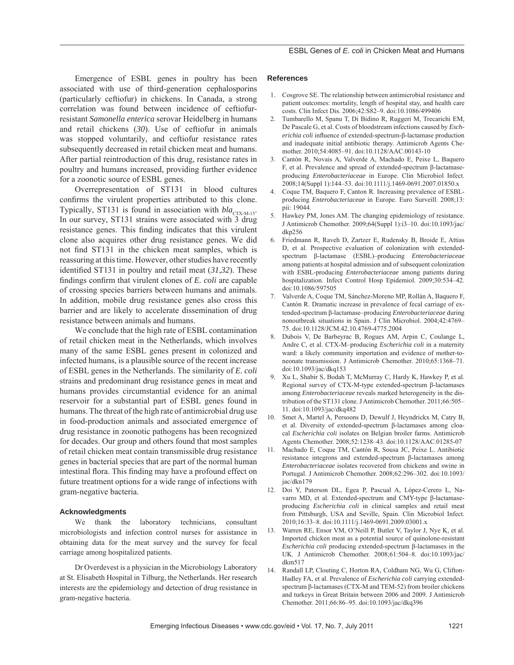Emergence of ESBL genes in poultry has been associated with use of third-generation cephalosporins (particularly ceftiofur) in chickens. In Canada, a strong correlation was found between incidence of ceftiofurresistant *Samonella enterica* serovar Heidelberg in humans and retail chickens (*30*). Use of ceftiofur in animals was stopped voluntarily, and ceftiofur resistance rates subsequently decreased in retail chicken meat and humans. After partial reintroduction of this drug, resistance rates in poultry and humans increased, providing further evidence for a zoonotic source of ESBL genes.

Overrepresentation of ST131 in blood cultures confirms the virulent properties attributed to this clone. Typically, ST131 is found in association with  $bla_{\text{CTX-M-15}}$ . In our survey, ST131 strains were associated with 3 drug resistance genes. This finding indicates that this virulent clone also acquires other drug resistance genes. We did not find ST131 in the chicken meat samples, which is reassuring at this time. However, other studies have recently identified ST131 in poultry and retail meat (31,32). These findings confirm that virulent clones of *E. coli* are capable of crossing species barriers between humans and animals. In addition, mobile drug resistance genes also cross this barrier and are likely to accelerate dissemination of drug resistance between animals and humans.

We conclude that the high rate of ESBL contamination of retail chicken meat in the Netherlands, which involves many of the same ESBL genes present in colonized and infected humans, is a plausible source of the recent increase of ESBL genes in the Netherlands. The similarity of *E. coli* strains and predominant drug resistance genes in meat and humans provides circumstantial evidence for an animal reservoir for a substantial part of ESBL genes found in humans. The threat of the high rate of antimicrobial drug use in food-production animals and associated emergence of drug resistance in zoonotic pathogens has been recognized for decades. Our group and others found that most samples of retail chicken meat contain transmissible drug resistance genes in bacterial species that are part of the normal human intestinal flora. This finding may have a profound effect on future treatment options for a wide range of infections with gram-negative bacteria.

#### **Acknowledgments**

We thank the laboratory technicians, consultant microbiologists and infection control nurses for assistance in obtaining data for the meat survey and the survey for fecal carriage among hospitalized patients.

Dr Overdevest is a physician in the Microbiology Laboratory at St. Elisabeth Hospital in Tilburg, the Netherlands. Her research interests are the epidemiology and detection of drug resistance in gram-negative bacteria.

#### **References**

- 1. Cosgrove SE. The relationship between antimicrobial resistance and patient outcomes: mortality, length of hospital stay, and health care costs. Clin Infect Dis. 2006;42:S82–9. doi:10.1086/499406
- 2. Tumbarello M, Spanu T, Di Bidino R, Ruggeri M, Trecarichi EM, De Pascale G, et al. Costs of bloodstream infections caused by *Escherichia coli* influence of extended-spectrum-β-lactamase production and inadequate initial antibiotic therapy. Antimicrob Agents Chemother. 2010;54:4085–91. doi:10.1128/AAC.00143-10
- 3. Cantón R, Novais A, Valverde A, Machado E, Peixe L, Baquero F, et al. Prevalence and spread of extended-spectrum β-lactamaseproducing *Enterobacteriaceae* in Europe. Clin Microbiol Infect. 2008;14(Suppl 1):144–53. doi:10.1111/j.1469-0691.2007.01850.x
- 4. Coque TM, Baquero F, Canton R. Increasing prevalence of ESBLproducing *Enterobacteriaceae* in Europe. Euro Surveill. 2008;13: pii: 19044.
- 5. Hawkey PM, Jones AM. The changing epidemiology of resistance. J Antimicrob Chemother. 2009;64(Suppl 1):i3–10. doi:10.1093/jac/ dkp256
- 6. Friedmann R, Raveh D, Zartzer E, Rudensky B, Broide E, Attias D, et al. Prospective evaluation of colonization with extendedspectrum β-lactamase (ESBL)–producing *Enterobacteriaceae* among patients at hospital admission and of subsequent colonization with ESBL-producing *Enterobacteriaceae* among patients during hospitalization. Infect Control Hosp Epidemiol. 2009;30:534–42. doi:10.1086/597505
- 7. Valverde A, Coque TM, Sánchez-Moreno MP, Rollán A, Baquero F, Cantón R. Dramatic increase in prevalence of fecal carriage of extended-spectrum β-lactamase–producing *Enterobacteriaceae* during nonoutbreak situations in Spain. J Clin Microbiol. 2004;42:4769– 75. doi:10.1128/JCM.42.10.4769-4775.2004
- 8. Dubois V, De Barbeyrac B, Rogues AM, Arpin C, Coulange L, Andre C, et al. CTX-M–producing *Escherichia coli* in a maternity ward: a likely community importation and evidence of mother-toneonate transmission. J Antimicrob Chemother. 2010;65:1368–71. doi:10.1093/jac/dkq153
- 9. Xu L, Shabir S, Bodah T, McMurray C, Hardy K, Hawkey P, et al. Regional survey of CTX-M-type extended-spectrum β-lactamases among *Enterobacteriaceae* reveals marked heterogeneity in the distribution of the ST131 clone. J Antimicrob Chemother. 2011;66:505– 11. doi:10.1093/jac/dkq482
- 10. Smet A, Martel A, Persoons D, Dewulf J, Heyndrickx M, Catry B, et al. Diversity of extended-spectrum β-lactamases among cloacal *Escherichia coli* isolates on Belgian broiler farms. Antimicrob Agents Chemother. 2008;52:1238–43. doi:10.1128/AAC.01285-07
- 11. Machado E, Coque TM, Cantón R, Sousa JC, Peixe L. Antibiotic resistance integrons and extended-spectrum β-lactamases among *Enterobacteriaceae* isolates recovered from chickens and swine in Portugal. J Antimicrob Chemother. 2008;62:296–302. doi:10.1093/ jac/dkn179
- 12. Doi Y, Paterson DL, Egea P, Pascual A, López-Cerero L, Navarro MD, et al. Extended-spectrum and CMY-type β-lactamaseproducing *Escherichia coli* in clinical samples and retail meat from Pittsburgh, USA and Seville, Spain. Clin Microbiol Infect. 2010;16:33–8. doi:10.1111/j.1469-0691.2009.03001.x
- 13. Warren RE, Ensor VM, O'Neill P, Butler V, Taylor J, Nye K, et al. Imported chicken meat as a potential source of quinolone-resistant *Escherichia coli* producing extended-spectrum β-lactamases in the UK. J Antimicrob Chemother. 2008;61:504–8. doi:10.1093/jac/ dkm517
- 14. Randall LP, Clouting C, Horton RA, Coldham NG, Wu G, Clifton-Hadley FA, et al. Prevalence of *Escherichia coli* carrying extendedspectrum β-lactamases (CTX-M and TEM-52) from broiler chickens and turkeys in Great Britain between 2006 and 2009. J Antimicrob Chemother. 2011;66:86–95. doi:10.1093/jac/dkq396